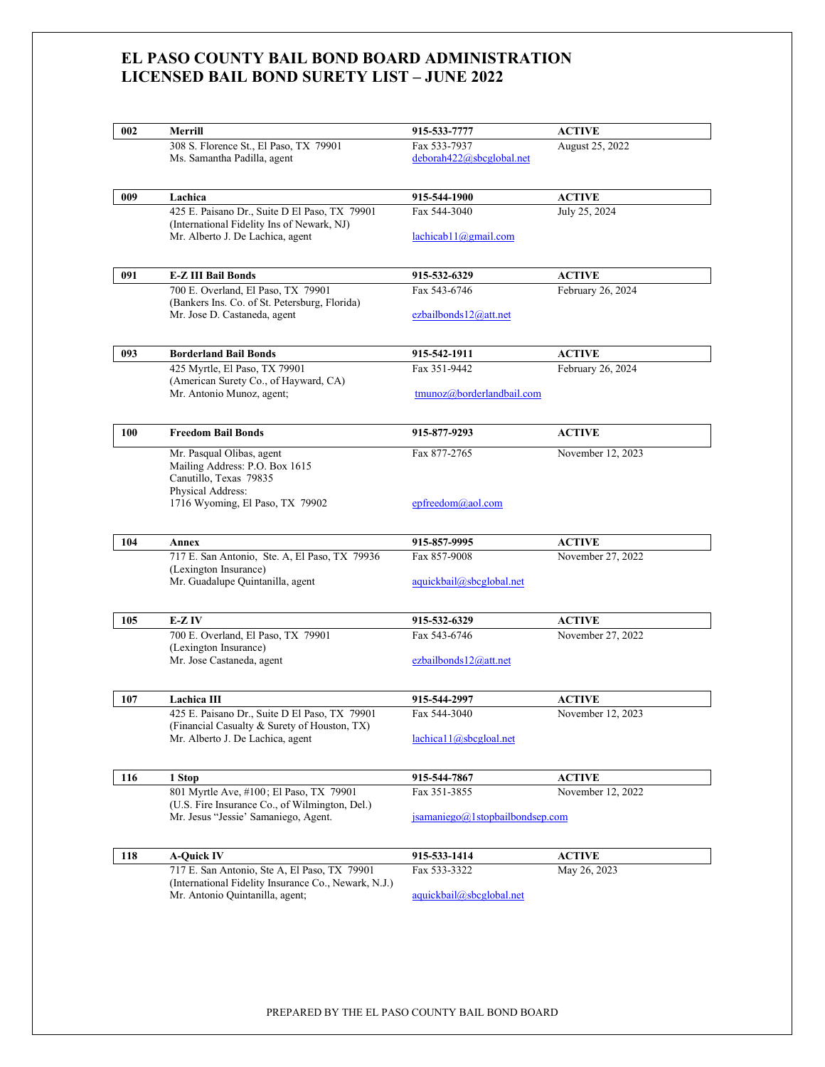## **EL PASO COUNTY BAIL BOND BOARD ADMINISTRATION LICENSED BAIL BOND SURETY LIST – JUNE 2022**

| <b>ACTIVE</b><br>August 25, 2022<br>deborah422@sbcglobal.net<br><b>ACTIVE</b><br>July 25, 2024<br>lachicab11@gmail.com<br><b>ACTIVE</b><br>February 26, 2024<br>ezbailbonds $12@at$ .net<br><b>ACTIVE</b><br>February 26, 2024 |
|--------------------------------------------------------------------------------------------------------------------------------------------------------------------------------------------------------------------------------|
|                                                                                                                                                                                                                                |
|                                                                                                                                                                                                                                |
|                                                                                                                                                                                                                                |
|                                                                                                                                                                                                                                |
|                                                                                                                                                                                                                                |
|                                                                                                                                                                                                                                |
|                                                                                                                                                                                                                                |
|                                                                                                                                                                                                                                |
|                                                                                                                                                                                                                                |
| tmunoz@borderlandbail.com                                                                                                                                                                                                      |
| <b>ACTIVE</b>                                                                                                                                                                                                                  |
| November 12, 2023                                                                                                                                                                                                              |
|                                                                                                                                                                                                                                |
| <b>ACTIVE</b>                                                                                                                                                                                                                  |
| November 27, 2022                                                                                                                                                                                                              |
| aquickbail@sbcglobal.net                                                                                                                                                                                                       |
| <b>ACTIVE</b>                                                                                                                                                                                                                  |
| November 27, 2022                                                                                                                                                                                                              |
| ezbailbonds $12@at$ .net                                                                                                                                                                                                       |
| <b>ACTIVE</b>                                                                                                                                                                                                                  |
| November 12, 2023                                                                                                                                                                                                              |
| lachical1@sbcgloal.net                                                                                                                                                                                                         |
| <b>ACTIVE</b>                                                                                                                                                                                                                  |
| November 12, 2022                                                                                                                                                                                                              |
| jsamaniego@1stopbailbondsep.com                                                                                                                                                                                                |
|                                                                                                                                                                                                                                |
|                                                                                                                                                                                                                                |
| <b>ACTIVE</b><br>May 26, 2023                                                                                                                                                                                                  |
|                                                                                                                                                                                                                                |